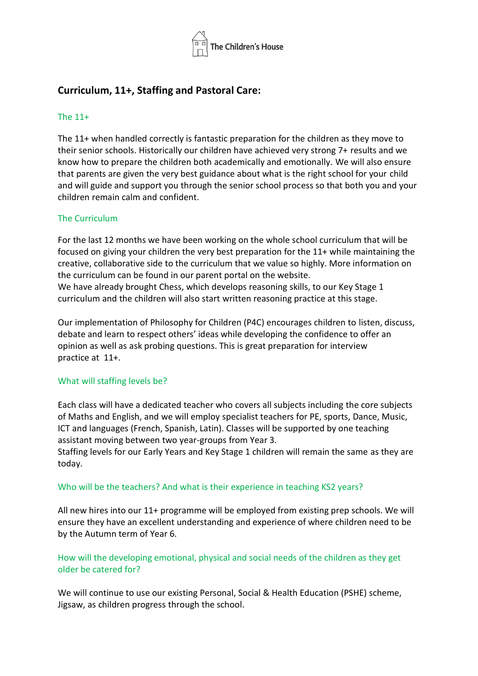

# **Curriculum, 11+, Staffing and Pastoral Care:**

### The 11+

The 11+ when handled correctly is fantastic preparation for the children as they move to their senior schools. Historically our children have achieved very strong 7+ results and we know how to prepare the children both academically and emotionally. We will also ensure that parents are given the very best guidance about what is the right school for your child and will guide and support you through the senior school process so that both you and your children remain calm and confident.

### The Curriculum

For the last 12 months we have been working on the whole school curriculum that will be focused on giving your children the very best preparation for the 11+ while maintaining the creative, collaborative side to the curriculum that we value so highly. More information on the curriculum can be found in our parent portal on the website. We have already brought Chess, which develops reasoning skills, to our Key Stage 1 curriculum and the children will also start written reasoning practice at this stage.

Our implementation of Philosophy for Children (P4C) encourages children to listen, discuss, debate and learn to respect others' ideas while developing the confidence to offer an opinion as well as ask probing questions. This is great preparation for interview practice at 11+.

### What will staffing levels be?

Each class will have a dedicated teacher who covers all subjects including the core subjects of Maths and English, and we will employ specialist teachers for PE, sports, Dance, Music, ICT and languages (French, Spanish, Latin). Classes will be supported by one teaching assistant moving between two year-groups from Year 3. 

Staffing levels for our Early Years and Key Stage 1 children will remain the same as they are today.

### Who will be the teachers? And what is their experience in teaching KS2 years?

All new hires into our 11+ programme will be employed from existing prep schools. We will ensure they have an excellent understanding and experience of where children need to be by the Autumn term of Year 6.

## How will the developing emotional, physical and social needs of the children as they get older be catered for?

We will continue to use our existing Personal, Social & Health Education (PSHE) scheme, Jigsaw, as children progress through the school.